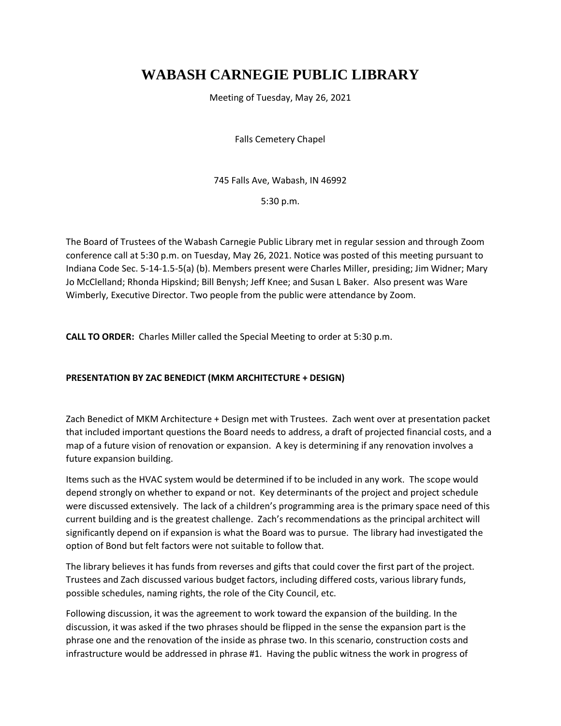## **WABASH CARNEGIE PUBLIC LIBRARY**

Meeting of Tuesday, May 26, 2021

Falls Cemetery Chapel

745 Falls Ave, Wabash, IN 46992

5:30 p.m.

The Board of Trustees of the Wabash Carnegie Public Library met in regular session and through Zoom conference call at 5:30 p.m. on Tuesday, May 26, 2021. Notice was posted of this meeting pursuant to Indiana Code Sec. 5-14-1.5-5(a) (b). Members present were Charles Miller, presiding; Jim Widner; Mary Jo McClelland; Rhonda Hipskind; Bill Benysh; Jeff Knee; and Susan L Baker. Also present was Ware Wimberly, Executive Director. Two people from the public were attendance by Zoom.

**CALL TO ORDER:** Charles Miller called the Special Meeting to order at 5:30 p.m.

## **PRESENTATION BY ZAC BENEDICT (MKM ARCHITECTURE + DESIGN)**

Zach Benedict of MKM Architecture + Design met with Trustees. Zach went over at presentation packet that included important questions the Board needs to address, a draft of projected financial costs, and a map of a future vision of renovation or expansion. A key is determining if any renovation involves a future expansion building.

Items such as the HVAC system would be determined if to be included in any work. The scope would depend strongly on whether to expand or not. Key determinants of the project and project schedule were discussed extensively. The lack of a children's programming area is the primary space need of this current building and is the greatest challenge. Zach's recommendations as the principal architect will significantly depend on if expansion is what the Board was to pursue. The library had investigated the option of Bond but felt factors were not suitable to follow that.

The library believes it has funds from reverses and gifts that could cover the first part of the project. Trustees and Zach discussed various budget factors, including differed costs, various library funds, possible schedules, naming rights, the role of the City Council, etc.

Following discussion, it was the agreement to work toward the expansion of the building. In the discussion, it was asked if the two phrases should be flipped in the sense the expansion part is the phrase one and the renovation of the inside as phrase two. In this scenario, construction costs and infrastructure would be addressed in phrase #1. Having the public witness the work in progress of